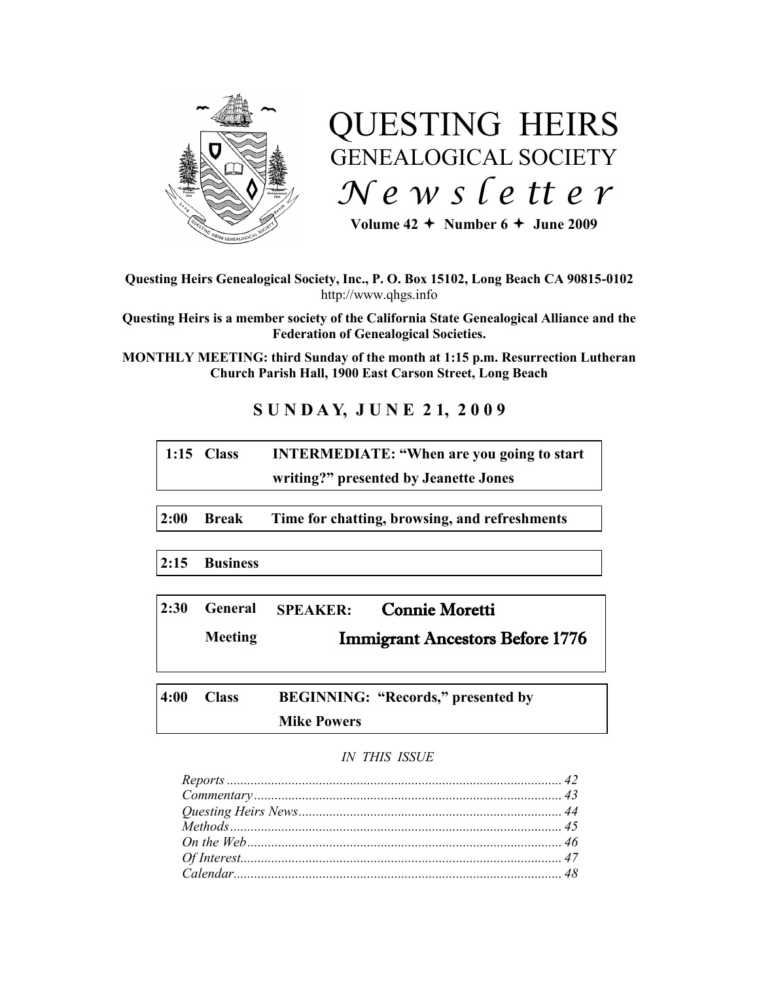

# QUESTING HEIRS GENEALOGICAL SOCIETY *N e w s l e tt e r*

Volume  $42 \div$  Number  $6 \div$  June 2009

**Questing Heirs Genealogical Society, Inc., P. O. Box 15102, Long Beach CA 90815-0102** http://www.qhgs.info

**Questing Heirs is a member society of the California State Genealogical Alliance and the Federation of Genealogical Societies.**

**MONTHLY MEETING: third Sunday of the month at 1:15 p.m. Resurrection Lutheran Church Parish Hall, 1900 East Carson Street, Long Beach** 

# **S U N D A Y, J U N E 2 1, 2 0 0 9**

| $1:15$ Class | <b>INTERMEDIATE: "When are you going to start</b> |
|--------------|---------------------------------------------------|
|              | writing?" presented by Jeanette Jones             |

**2:00 Break Time for chatting, browsing, and refreshments**

**2:15 Business**

|         |                                        | 2:30 General SPEAKER: Connie Moretti |
|---------|----------------------------------------|--------------------------------------|
| Meeting | <b>Immigrant Ancestors Before 1776</b> |                                      |

**4:00 Class BEGINNING: "Records," presented by Mike Powers**

## *IN THIS ISSUE*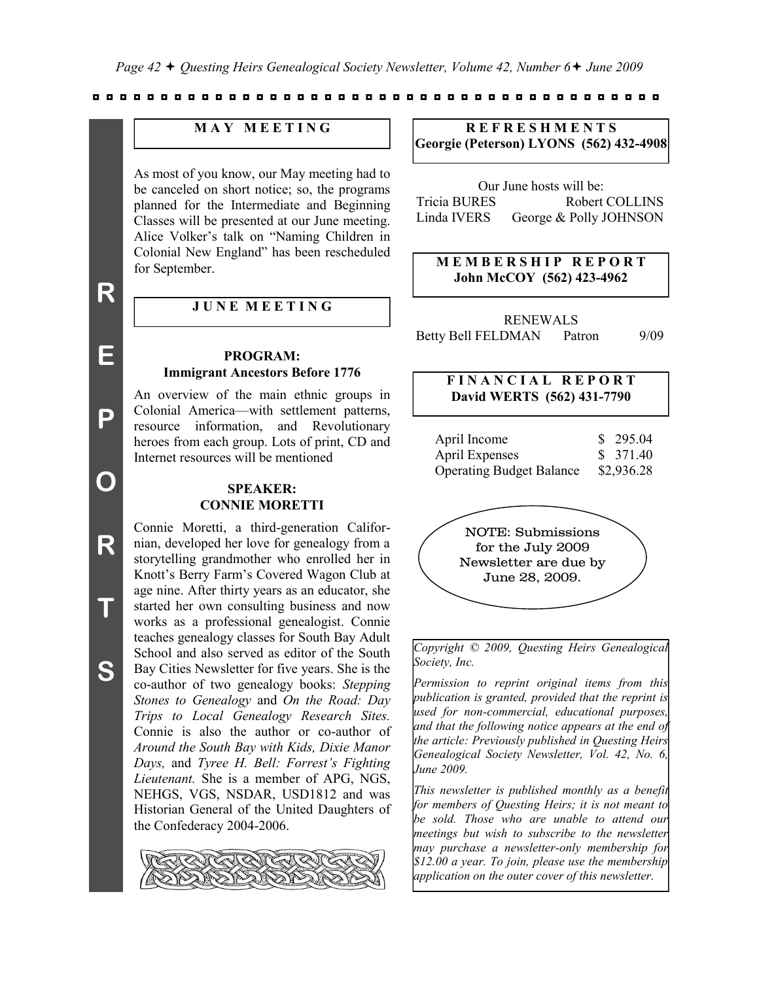## **M A Y M E E T I N G**

As most of you know, our May meeting had to be canceled on short notice; so, the programs planned for the Intermediate and Beginning Classes will be presented at our June meeting. Alice Volker's talk on "Naming Children in Colonial New England" has been rescheduled for September.

**E**

**P**

**O**

**R**

**T**

**S**

## **J U N E M E E T I N G**

#### **PROGRAM: Immigrant Ancestors Before 1776**

An overview of the main ethnic groups in Colonial America—with settlement patterns, resource information, and Revolutionary heroes from each group. Lots of print, CD and Internet resources will be mentioned

## **SPEAKER: CONNIE MORETTI**

Connie Moretti, a third-generation Californian, developed her love for genealogy from a storytelling grandmother who enrolled her in Knott's Berry Farm's Covered Wagon Club at age nine. After thirty years as an educator, she started her own consulting business and now works as a professional genealogist. Connie teaches genealogy classes for South Bay Adult School and also served as editor of the South Bay Cities Newsletter for five years. She is the co-author of two genealogy books: *Stepping Stones to Genealogy* and *On the Road: Day Trips to Local Genealogy Research Sites.*  Connie is also the author or co-author of *Around the South Bay with Kids, Dixie Manor Days,* and *Tyree H. Bell: Forrest's Fighting Lieutenant.* She is a member of APG, NGS, NEHGS, VGS, NSDAR, USD1812 and was Historian General of the United Daughters of the Confederacy 2004-2006.



## **R E F R E S H M E N T S Georgie (Peterson) LYONS (562) 432-4908**

Our June hosts will be: Tricia BURES Robert COLLINS Linda IVERS George & Polly JOHNSON

## **M E M B E R S H I P R E P O R T John McCOY (562) 423-4962**

RENEWALS Betty Bell FELDMAN Patron 9/09

## **F I N A N C I A L R E P O R T David WERTS (562) 431-7790**

| April Income                    | \$295.04   |
|---------------------------------|------------|
| <b>April Expenses</b>           | \$ 371.40  |
| <b>Operating Budget Balance</b> | \$2,936.28 |



*Copyright © 2009, Questing Heirs Genealogical Society, Inc.*

*Permission to reprint original items from this publication is granted, provided that the reprint is used for non-commercial, educational purposes, and that the following notice appears at the end of the article: Previously published in Questing Heirs Genealogical Society Newsletter, Vol. 42, No. 6, June 2009.*

*This newsletter is published monthly as a benefit for members of Questing Heirs; it is not meant to be sold. Those who are unable to attend our meetings but wish to subscribe to the newsletter may purchase a newsletter-only membership for \$12.00 a year. To join, please use the membership application on the outer cover of this newsletter.*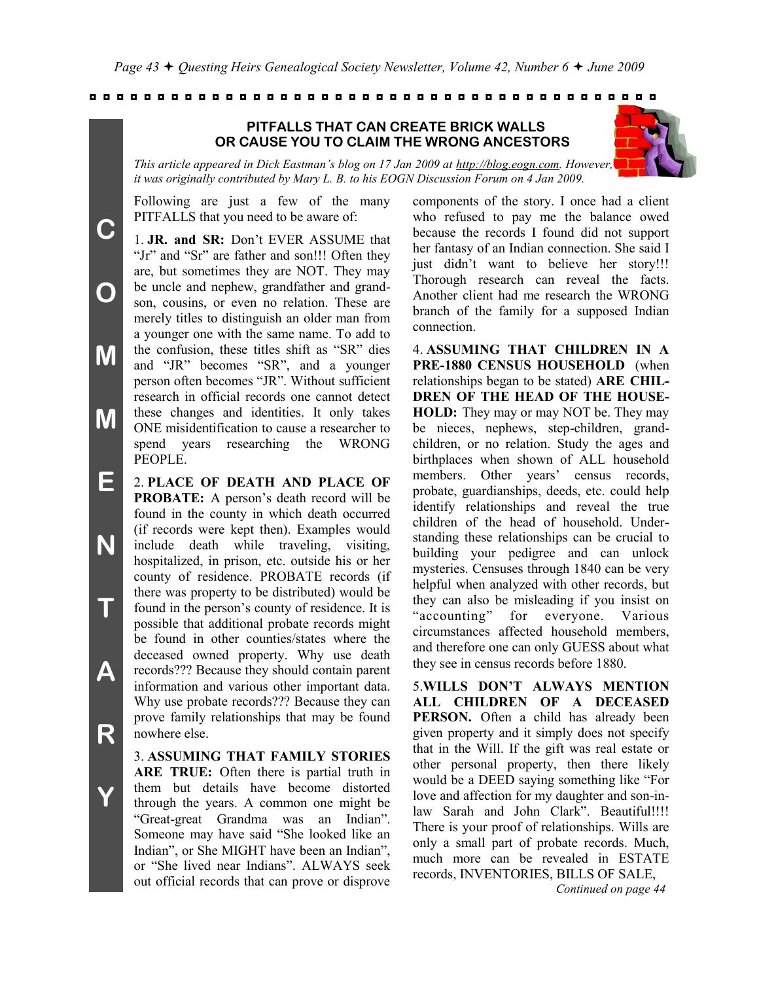## **PITFALLS THAT CAN CREATE BRICK WALLS OR CAUSE YOU TO CLAIM THE WRONG ANCESTORS**



*This article appeared in Dick Eastman's blog on 17 Jan 2009 at http://blog.eogn.com. However, it was originally contributed by Mary L. B. to his EOGN Discussion Forum on 4 Jan 2009.*

Following are just a few of the many PITFALLS that you need to be aware of:

**C**

**O**

**M**

**M**

**Y**

1. **JR. and SR:** Don't EVER ASSUME that "Jr" and "Sr" are father and son!!! Often they are, but sometimes they are NOT. They may be uncle and nephew, grandfather and grandson, cousins, or even no relation. These are merely titles to distinguish an older man from a younger one with the same name. To add to the confusion, these titles shift as "SR" dies and "JR" becomes "SR", and a younger person often becomes "JR". Without sufficient research in official records one cannot detect these changes and identities. It only takes ONE misidentification to cause a researcher to spend years researching the WRONG PEOPLE.

**E N T A R** 2. **PLACE OF DEATH AND PLACE OF PROBATE:** A person's death record will be found in the county in which death occurred (if records were kept then). Examples would include death while traveling, visiting, hospitalized, in prison, etc. outside his or her county of residence. PROBATE records (if there was property to be distributed) would be found in the person's county of residence. It is possible that additional probate records might be found in other counties/states where the deceased owned property. Why use death records??? Because they should contain parent information and various other important data. Why use probate records??? Because they can prove family relationships that may be found nowhere else.

> 3. **ASSUMING THAT FAMILY STORIES ARE TRUE:** Often there is partial truth in them but details have become distorted through the years. A common one might be "Great-great Grandma was an Indian". Someone may have said "She looked like an Indian", or She MIGHT have been an Indian", or "She lived near Indians". ALWAYS seek out official records that can prove or disprove

components of the story. I once had a client who refused to pay me the balance owed because the records I found did not support her fantasy of an Indian connection. She said I just didn't want to believe her story!!! Thorough research can reveal the facts. Another client had me research the WRONG branch of the family for a supposed Indian connection.

4. **ASSUMING THAT CHILDREN IN A PRE-1880 CENSUS HOUSEHOLD** (when relationships began to be stated) **ARE CHIL-DREN OF THE HEAD OF THE HOUSE-HOLD:** They may or may NOT be. They may be nieces, nephews, step-children, grandchildren, or no relation. Study the ages and birthplaces when shown of ALL household members. Other years' census records, probate, guardianships, deeds, etc. could help identify relationships and reveal the true children of the head of household. Understanding these relationships can be crucial to building your pedigree and can unlock mysteries. Censuses through 1840 can be very helpful when analyzed with other records, but they can also be misleading if you insist on "accounting" for everyone. Various circumstances affected household members, and therefore one can only GUESS about what they see in census records before 1880.

5.**WILLS DON'T ALWAYS MENTION ALL CHILDREN OF A DECEASED PERSON.** Often a child has already been given property and it simply does not specify that in the Will. If the gift was real estate or other personal property, then there likely would be a DEED saying something like "For love and affection for my daughter and son-inlaw Sarah and John Clark". Beautiful!!!! There is your proof of relationships. Wills are only a small part of probate records. Much, much more can be revealed in ESTATE records, INVENTORIES, BILLS OF SALE,

*Continued on page 44*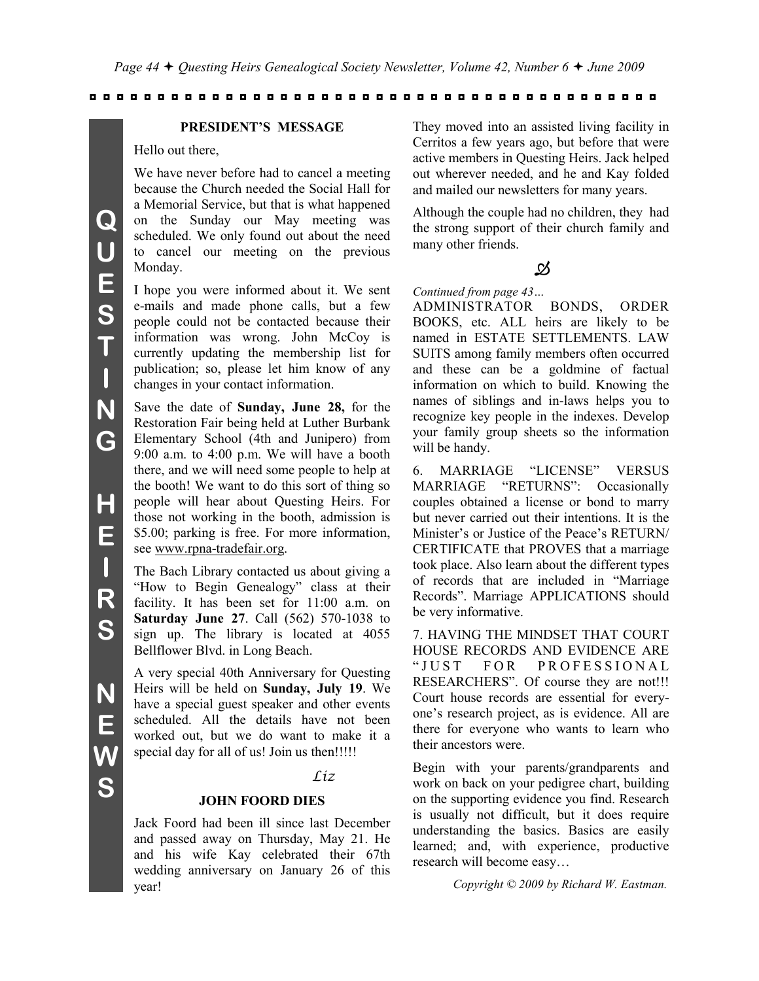#### **PRESIDENT'S MESSAGE**

Hello out there,

We have never before had to cancel a meeting because the Church needed the Social Hall for a Memorial Service, but that is what happened on the Sunday our May meeting was scheduled. We only found out about the need to cancel our meeting on the previous Monday.

I hope you were informed about it. We sent e-mails and made phone calls, but a few people could not be contacted because their information was wrong. John McCoy is currently updating the membership list for publication; so, please let him know of any changes in your contact information.

Save the date of **Sunday, June 28,** for the Restoration Fair being held at Luther Burbank Elementary School (4th and Junipero) from 9:00 a.m. to 4:00 p.m. We will have a booth there, and we will need some people to help at the booth! We want to do this sort of thing so people will hear about Questing Heirs. For those not working in the booth, admission is \$5.00; parking is free. For more information, see www.rpna-tradefair.org.

The Bach Library contacted us about giving a "How to Begin Genealogy" class at their facility. It has been set for 11:00 a.m. on **Saturday June 27**. Call (562) 570-1038 to sign up. The library is located at 4055 Bellflower Blvd. in Long Beach.

A very special 40th Anniversary for Questing Heirs will be held on **Sunday, July 19**. We have a special guest speaker and other events scheduled. All the details have not been worked out, but we do want to make it a special day for all of us! Join us then!!!!!

#### *Liz*

#### **JOHN FOORD DIES**

Jack Foord had been ill since last December and passed away on Thursday, May 21. He and his wife Kay celebrated their 67th wedding anniversary on January 26 of this year!

They moved into an assisted living facility in Cerritos a few years ago, but before that were active members in Questing Heirs. Jack helped out wherever needed, and he and Kay folded and mailed our newsletters for many years.

Although the couple had no children, they had the strong support of their church family and many other friends.

### 功

#### *Continued from page 43…*

ADMINISTRATOR BONDS, ORDER BOOKS, etc. ALL heirs are likely to be named in ESTATE SETTLEMENTS. LAW SUITS among family members often occurred and these can be a goldmine of factual information on which to build. Knowing the names of siblings and in-laws helps you to recognize key people in the indexes. Develop your family group sheets so the information will be handy.

6. MARRIAGE "LICENSE" VERSUS MARRIAGE "RETURNS": Occasionally couples obtained a license or bond to marry but never carried out their intentions. It is the Minister's or Justice of the Peace's RETURN/ CERTIFICATE that PROVES that a marriage took place. Also learn about the different types of records that are included in "Marriage" Records". Marriage APPLICATIONS should be very informative.

7. HAVING THE MINDSET THAT COURT HOUSE RECORDS AND EVIDENCE ARE "JUST FOR PROFESSIONAL RESEARCHERS". Of course they are not!!! Court house records are essential for everyone's research project, as is evidence. All are there for everyone who wants to learn who their ancestors were.

Begin with your parents/grandparents and work on back on your pedigree chart, building on the supporting evidence you find. Research is usually not difficult, but it does require understanding the basics. Basics are easily learned; and, with experience, productive research will become easy…

 *Copyright © 2009 by Richard W. Eastman.*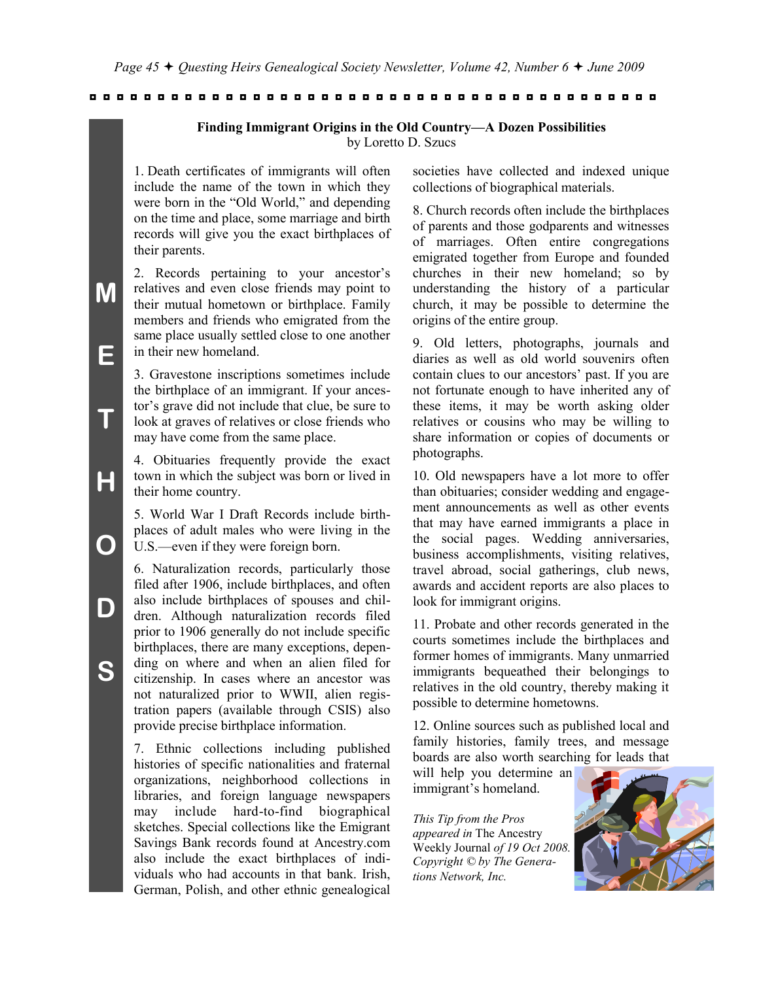#### **Finding Immigrant Origins in the Old Country—A Dozen Possibilities** by Loretto D. Szucs

1. Death certificates of immigrants will often include the name of the town in which they were born in the "Old World," and depending on the time and place, some marriage and birth records will give you the exact birthplaces of their parents.

2. Records pertaining to your ancestor's relatives and even close friends may point to their mutual hometown or birthplace. Family members and friends who emigrated from the same place usually settled close to one another in their new homeland.

3. Gravestone inscriptions sometimes include the birthplace of an immigrant. If your ancestor's grave did not include that clue, be sure to look at graves of relatives or close friends who may have come from the same place.

4. Obituaries frequently provide the exact town in which the subject was born or lived in their home country.

5. World War I Draft Records include birthplaces of adult males who were living in the U.S.—even if they were foreign born.

6. Naturalization records, particularly those filed after 1906, include birthplaces, and often also include birthplaces of spouses and children. Although naturalization records filed prior to 1906 generally do not include specific birthplaces, there are many exceptions, depending on where and when an alien filed for citizenship. In cases where an ancestor was not naturalized prior to WWII, alien registration papers (available through CSIS) also provide precise birthplace information.

7. Ethnic collections including published histories of specific nationalities and fraternal organizations, neighborhood collections in libraries, and foreign language newspapers may include hard-to-find biographical sketches. Special collections like the Emigrant Savings Bank records found at Ancestry.com also include the exact birthplaces of individuals who had accounts in that bank. Irish, German, Polish, and other ethnic genealogical

societies have collected and indexed unique collections of biographical materials.

8. Church records often include the birthplaces of parents and those godparents and witnesses of marriages. Often entire congregations emigrated together from Europe and founded churches in their new homeland; so by understanding the history of a particular church, it may be possible to determine the origins of the entire group.

9. Old letters, photographs, journals and diaries as well as old world souvenirs often contain clues to our ancestors' past. If you are not fortunate enough to have inherited any of these items, it may be worth asking older relatives or cousins who may be willing to share information or copies of documents or photographs.

10. Old newspapers have a lot more to offer than obituaries; consider wedding and engagement announcements as well as other events that may have earned immigrants a place in the social pages. Wedding anniversaries, business accomplishments, visiting relatives, travel abroad, social gatherings, club news, awards and accident reports are also places to look for immigrant origins.

11. Probate and other records generated in the courts sometimes include the birthplaces and former homes of immigrants. Many unmarried immigrants bequeathed their belongings to relatives in the old country, thereby making it possible to determine hometowns.

12. Online sources such as published local and family histories, family trees, and message boards are also worth searching for leads that

will help you determine an immigrant's homeland.

*This Tip from the Pros appeared in* The Ancestry Weekly Journal *of 19 Oct 2008. Copyright © by The Generations Network, Inc.*



**S**

**M**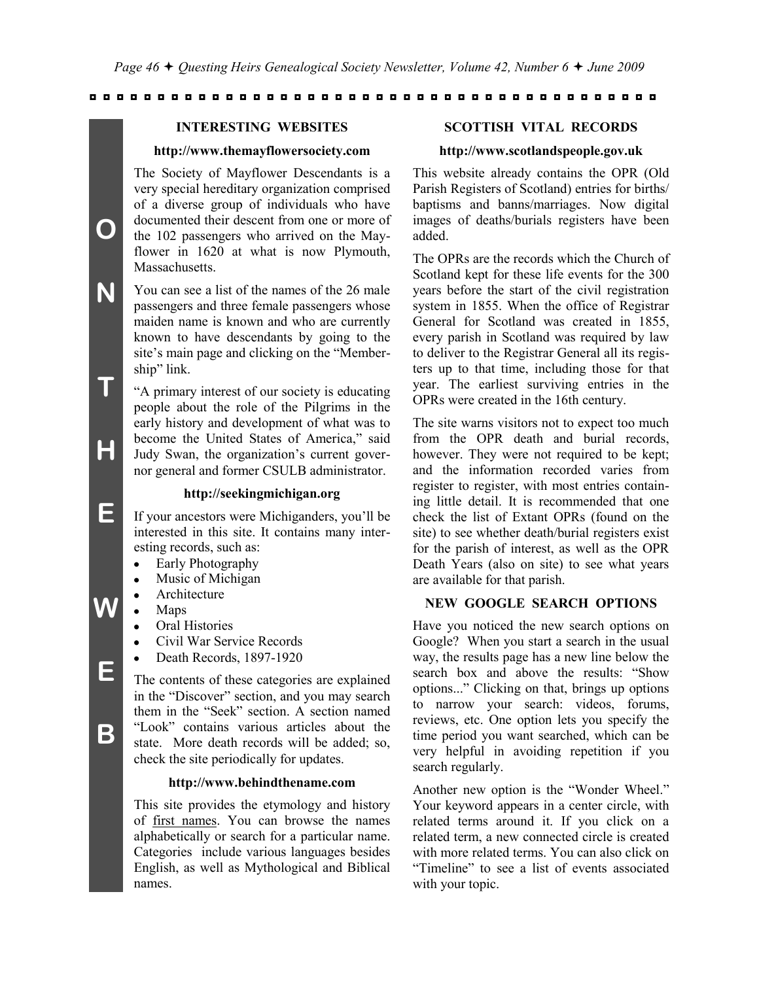#### **INTERESTING WEBSITES**

#### **http://www.themayflowersociety.com**

The Society of Mayflower Descendants is a very special hereditary organization comprised of a diverse group of individuals who have documented their descent from one or more of the 102 passengers who arrived on the Mayflower in 1620 at what is now Plymouth, Massachusetts.

You can see a list of the names of the 26 male passengers and three female passengers whose maiden name is known and who are currently known to have descendants by going to the site's main page and clicking on the "Membership" link.

―A primary interest of our society is educating people about the role of the Pilgrims in the early history and development of what was to become the United States of America," said Judy Swan, the organization's current governor general and former CSULB administrator.

#### **http://seekingmichigan.org**

If your ancestors were Michiganders, you'll be interested in this site. It contains many interesting records, such as:

- Early Photography  $\bullet$
- Music of Michigan  $\bullet$
- Architecture
- Maps
	- Oral Histories
	- Civil War Service Records
	- Death Records, 1897-1920

The contents of these categories are explained in the "Discover" section, and you may search them in the "Seek" section. A section named ―Look‖ contains various articles about the state. More death records will be added; so, check the site periodically for updates.

#### **http://www.behindthename.com**

This site provides the etymology and history of first names. You can browse the names alphabetically or search for a particular name. Categories include various languages besides English, as well as Mythological and Biblical names.

#### **SCOTTISH VITAL RECORDS**

#### **http://www.scotlandspeople.gov.uk**

This website already contains the OPR (Old Parish Registers of Scotland) entries for births/ baptisms and banns/marriages. Now digital images of deaths/burials registers have been added.

The OPRs are the records which the Church of Scotland kept for these life events for the 300 years before the start of the civil registration system in 1855. When the office of Registrar General for Scotland was created in 1855, every parish in Scotland was required by law to deliver to the Registrar General all its registers up to that time, including those for that year. The earliest surviving entries in the OPRs were created in the 16th century.

The site warns visitors not to expect too much from the OPR death and burial records, however. They were not required to be kept; and the information recorded varies from register to register, with most entries containing little detail. It is recommended that one check the list of Extant OPRs (found on the site) to see whether death/burial registers exist for the parish of interest, as well as the OPR Death Years (also on site) to see what years are available for that parish.

### **NEW GOOGLE SEARCH OPTIONS**

Have you noticed the new search options on Google? When you start a search in the usual way, the results page has a new line below the search box and above the results: "Show options..." Clicking on that, brings up options to narrow your search: videos, forums, reviews, etc. One option lets you specify the time period you want searched, which can be very helpful in avoiding repetition if you search regularly.

Another new option is the "Wonder Wheel." Your keyword appears in a center circle, with related terms around it. If you click on a related term, a new connected circle is created with more related terms. You can also click on "Timeline" to see a list of events associated with your topic.

**B**

**O**

**N**

**T**

**H**

**E**

**W**

**E**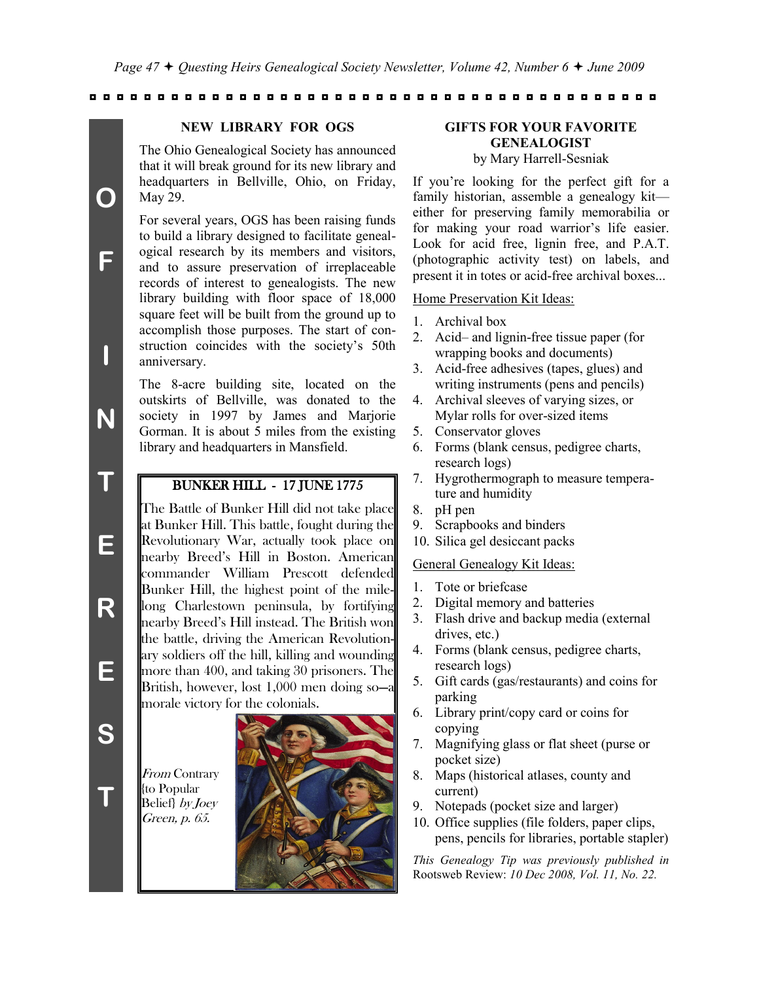#### **NEW LIBRARY FOR OGS**

The Ohio Genealogical Society has announced that it will break ground for its new library and headquarters in Bellville, Ohio, on Friday, May 29.

For several years, OGS has been raising funds to build a library designed to facilitate genealogical research by its members and visitors, and to assure preservation of irreplaceable records of interest to genealogists. The new library building with floor space of 18,000 square feet will be built from the ground up to accomplish those purposes. The start of construction coincides with the society's 50th anniversary.

The 8-acre building site, located on the outskirts of Bellville, was donated to the society in 1997 by James and Marjorie Gorman. It is about 5 miles from the existing library and headquarters in Mansfield.

## BUNKER HILL - 17 JUNE 1775

The Battle of Bunker Hill did not take place at Bunker Hill. This battle, fought during the Revolutionary War, actually took place on nearby Breed's Hill in Boston. American commander William Prescott defended Bunker Hill, the highest point of the milelong Charlestown peninsula, by fortifying nearby Breed's Hill instead. The British won the battle, driving the American Revolutionary soldiers off the hill, killing and wounding more than 400, and taking 30 prisoners. The British, however, lost 1,000 men doing so—a morale victory for the colonials.

From Contrary {to Popular Belief} by Joey Green, p. 65.



## **GIFTS FOR YOUR FAVORITE GENEALOGIST**

## by Mary Harrell-Sesniak

If you're looking for the perfect gift for a family historian, assemble a genealogy kit either for preserving family memorabilia or for making your road warrior's life easier. Look for acid free, lignin free, and P.A.T. (photographic activity test) on labels, and present it in totes or acid-free archival boxes...

#### Home Preservation Kit Ideas:

- 1. Archival box
- 2. Acid– and lignin-free tissue paper (for wrapping books and documents)
- 3. Acid-free adhesives (tapes, glues) and writing instruments (pens and pencils)
- 4. Archival sleeves of varying sizes, or Mylar rolls for over-sized items
- 5. Conservator gloves
- 6. Forms (blank census, pedigree charts, research logs)
- 7. Hygrothermograph to measure temperature and humidity
- 8. pH pen
- 9. Scrapbooks and binders
- 10. Silica gel desiccant packs

#### General Genealogy Kit Ideas:

- 1. Tote or briefcase
- 2. Digital memory and batteries
- 3. Flash drive and backup media (external drives, etc.)
- 4. Forms (blank census, pedigree charts, research logs)
- 5. Gift cards (gas/restaurants) and coins for parking
- 6. Library print/copy card or coins for copying
- 7. Magnifying glass or flat sheet (purse or pocket size)
- 8. Maps (historical atlases, county and current)
- 9. Notepads (pocket size and larger)
- 10. Office supplies (file folders, paper clips, pens, pencils for libraries, portable stapler)

*This Genealogy Tip was previously published in*  Rootsweb Review: *10 Dec 2008, Vol. 11, No. 22.*